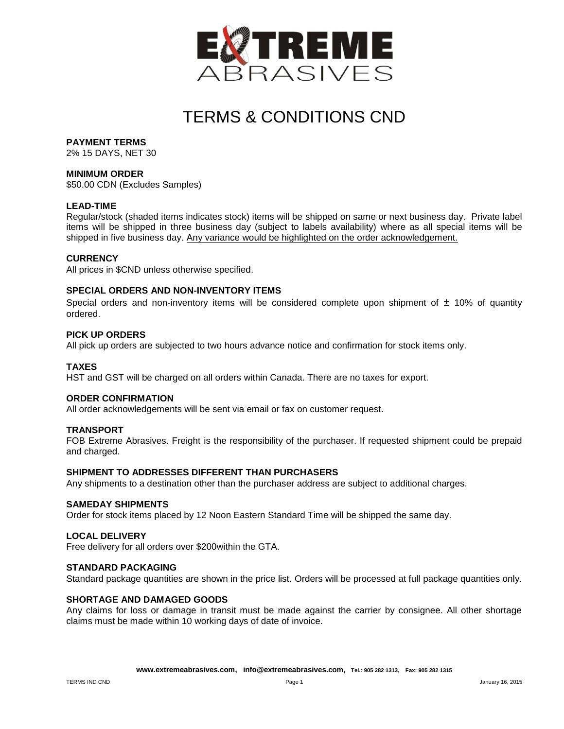

# TERMS & CONDITIONS CND

# **PAYMENT TERMS**

2% 15 DAYS, NET 30

# **MINIMUM ORDER**

\$50.00 CDN (Excludes Samples)

# **LEAD-TIME**

Regular/stock (shaded items indicates stock) items will be shipped on same or next business day. Private label items will be shipped in three business day (subject to labels availability) where as all special items will be shipped in five business day. Any variance would be highlighted on the order acknowledgement.

#### **CURRENCY**

All prices in \$CND unless otherwise specified.

# **SPECIAL ORDERS AND NON-INVENTORY ITEMS**

Special orders and non-inventory items will be considered complete upon shipment of  $\pm$  10% of quantity ordered.

### **PICK UP ORDERS**

All pick up orders are subjected to two hours advance notice and confirmation for stock items only.

# **TAXES**

HST and GST will be charged on all orders within Canada. There are no taxes for export.

#### **ORDER CONFIRMATION**

All order acknowledgements will be sent via email or fax on customer request.

# **TRANSPORT**

FOB Extreme Abrasives. Freight is the responsibility of the purchaser. If requested shipment could be prepaid and charged.

# **SHIPMENT TO ADDRESSES DIFFERENT THAN PURCHASERS**

Any shipments to a destination other than the purchaser address are subject to additional charges.

# **SAMEDAY SHIPMENTS**

Order for stock items placed by 12 Noon Eastern Standard Time will be shipped the same day.

#### **LOCAL DELIVERY**

Free delivery for all orders over \$200within the GTA.

#### **STANDARD PACKAGING**

Standard package quantities are shown in the price list. Orders will be processed at full package quantities only.

#### **SHORTAGE AND DAMAGED GOODS**

Any claims for loss or damage in transit must be made against the carrier by consignee. All other shortage claims must be made within 10 working days of date of invoice.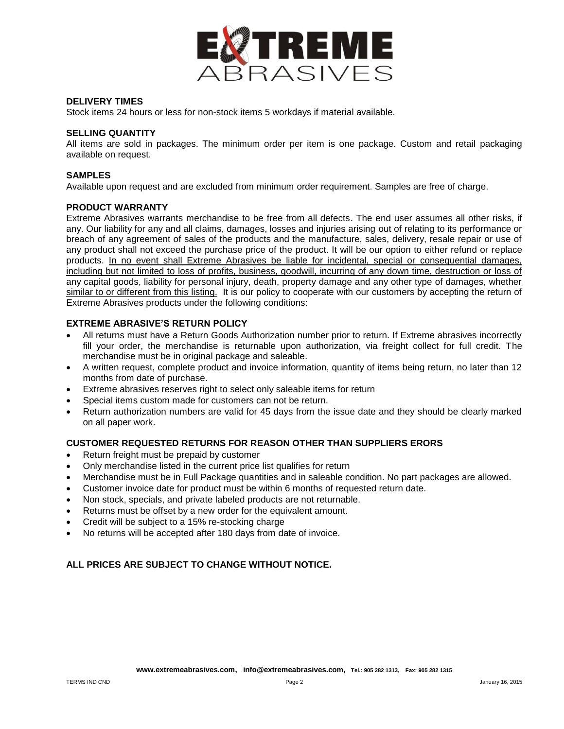

# **DELIVERY TIMES**

Stock items 24 hours or less for non-stock items 5 workdays if material available.

# **SELLING QUANTITY**

All items are sold in packages. The minimum order per item is one package. Custom and retail packaging available on request.

# **SAMPLES**

Available upon request and are excluded from minimum order requirement. Samples are free of charge.

# **PRODUCT WARRANTY**

Extreme Abrasives warrants merchandise to be free from all defects. The end user assumes all other risks, if any. Our liability for any and all claims, damages, losses and injuries arising out of relating to its performance or breach of any agreement of sales of the products and the manufacture, sales, delivery, resale repair or use of any product shall not exceed the purchase price of the product. It will be our option to either refund or replace products. In no event shall Extreme Abrasives be liable for incidental, special or consequential damages, including but not limited to loss of profits, business, goodwill, incurring of any down time, destruction or loss of any capital goods, liability for personal injury, death, property damage and any other type of damages, whether similar to or different from this listing. It is our policy to cooperate with our customers by accepting the return of Extreme Abrasives products under the following conditions:

# **EXTREME ABRASIVE'S RETURN POLICY**

- All returns must have a Return Goods Authorization number prior to return. If Extreme abrasives incorrectly fill your order, the merchandise is returnable upon authorization, via freight collect for full credit. The merchandise must be in original package and saleable.
- A written request, complete product and invoice information, quantity of items being return, no later than 12 months from date of purchase.
- Extreme abrasives reserves right to select only saleable items for return
- Special items custom made for customers can not be return.
- Return authorization numbers are valid for 45 days from the issue date and they should be clearly marked on all paper work.

# **CUSTOMER REQUESTED RETURNS FOR REASON OTHER THAN SUPPLIERS ERORS**

- Return freight must be prepaid by customer
- Only merchandise listed in the current price list qualifies for return
- Merchandise must be in Full Package quantities and in saleable condition. No part packages are allowed.
- Customer invoice date for product must be within 6 months of requested return date.
- Non stock, specials, and private labeled products are not returnable.
- Returns must be offset by a new order for the equivalent amount.
- Credit will be subject to a 15% re-stocking charge
- No returns will be accepted after 180 days from date of invoice.

# **ALL PRICES ARE SUBJECT TO CHANGE WITHOUT NOTICE.**